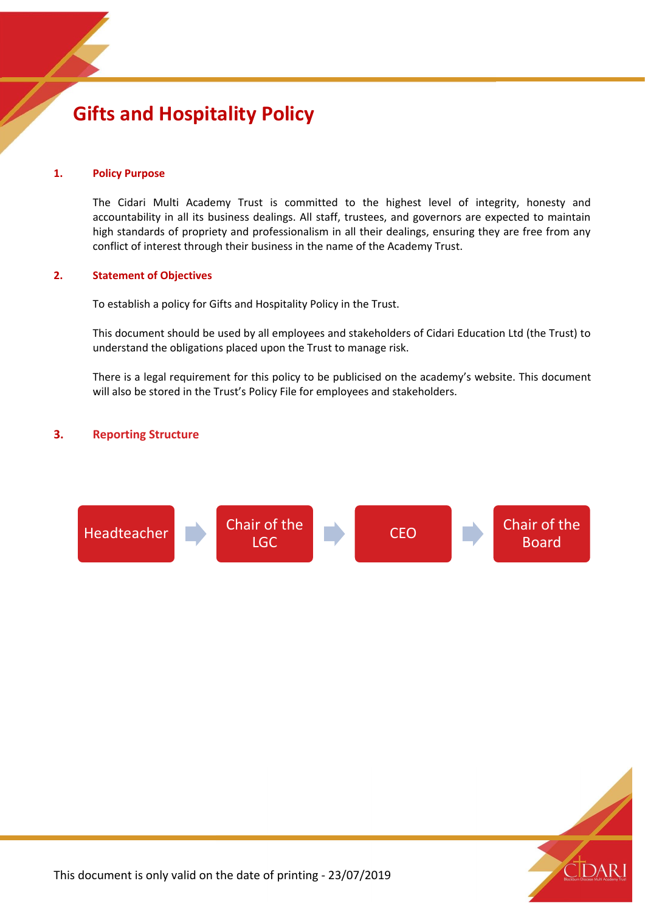# **Gifts and Hospitality Policy**

## **1. Policy Purpose**

The Cidari Multi Academy Trust is committed to the highest level of integrity, honesty and accountability in all its business dealings. All staff, trustees, and governors are expected to maintain high standards of propriety and professionalism in all their dealings, ensuring they are free from any conflict of interest through their business in the name of the Academy Trust.

# **2. Statement of Objectives**

To establish a policy for Gifts and Hospitality Policy in the Trust.

This document should be used by all employees and stakeholders of Cidari Education Ltd (the Trust) to understand the obligations placed upon the Trust to manage risk.

There is a legal requirement for this policy to be publicised on the academy's website. This document will also be stored in the Trust's Policy File for employees and stakeholders.

# **3. Reporting Structure**



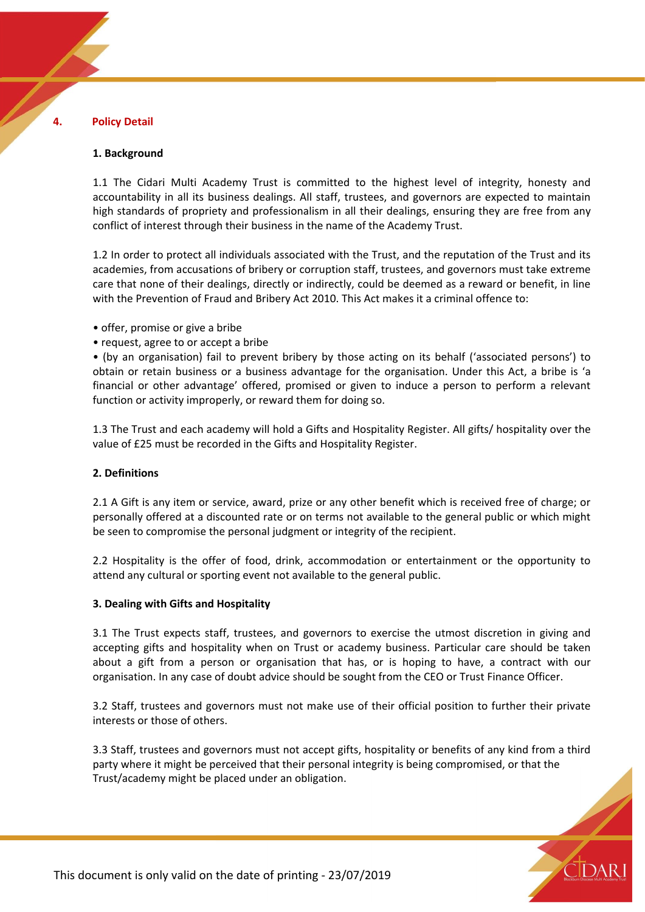#### **4. Policy Detail**

#### **1. Background**

1.1 The Cidari Multi Academy Trust is committed to the highest level of integrity, honesty and accountability in all its business dealings. All staff, trustees, and governors are expected to maintain high standards of propriety and professionalism in all their dealings, ensuring they are free from any conflict of interest through their business in the name of the Academy Trust.

1.2 In order to protect all individuals associated with the Trust, and the reputation of the Trust and its academies, from accusations of bribery or corruption staff, trustees, and governors must take extreme care that none of their dealings, directly or indirectly, could be deemed as a reward or benefit, in line with the Prevention of Fraud and Bribery Act 2010. This Act makes it a criminal offence to:

- offer, promise or give a bribe
- request, agree to or accept a bribe

• (by an organisation) fail to prevent bribery by those acting on its behalf ('associated persons') to obtain or retain business or a business advantage for the organisation. Under this Act, a bribe is 'a financial or other advantage' offered, promised or given to induce a person to perform a relevant function or activity improperly, or reward them for doing so.

1.3 The Trust and each academy will hold a Gifts and Hospitality Register. All gifts/ hospitality over the value of £25 must be recorded in the Gifts and Hospitality Register.

#### **2. Definitions**

2.1 A Gift is any item or service, award, prize or any other benefit which is received free of charge; or personally offered at a discounted rate or on terms not available to the general public or which might be seen to compromise the personal judgment or integrity of the recipient.

2.2 Hospitality is the offer of food, drink, accommodation or entertainment or the opportunity to attend any cultural or sporting event not available to the general public.

#### **3. Dealing with Gifts and Hospitality**

3.1 The Trust expects staff, trustees, and governors to exercise the utmost discretion in giving and accepting gifts and hospitality when on Trust or academy business. Particular care should be taken about a gift from a person or organisation that has, or is hoping to have, a contract with our organisation. In any case of doubt advice should be sought from the CEO or Trust Finance Officer.

3.2 Staff, trustees and governors must not make use of their official position to further their private interests or those of others.

3.3 Staff, trustees and governors must not accept gifts, hospitality or benefits of any kind from a third party where it might be perceived that their personal integrity is being compromised, or that the Trust/academy might be placed under an obligation.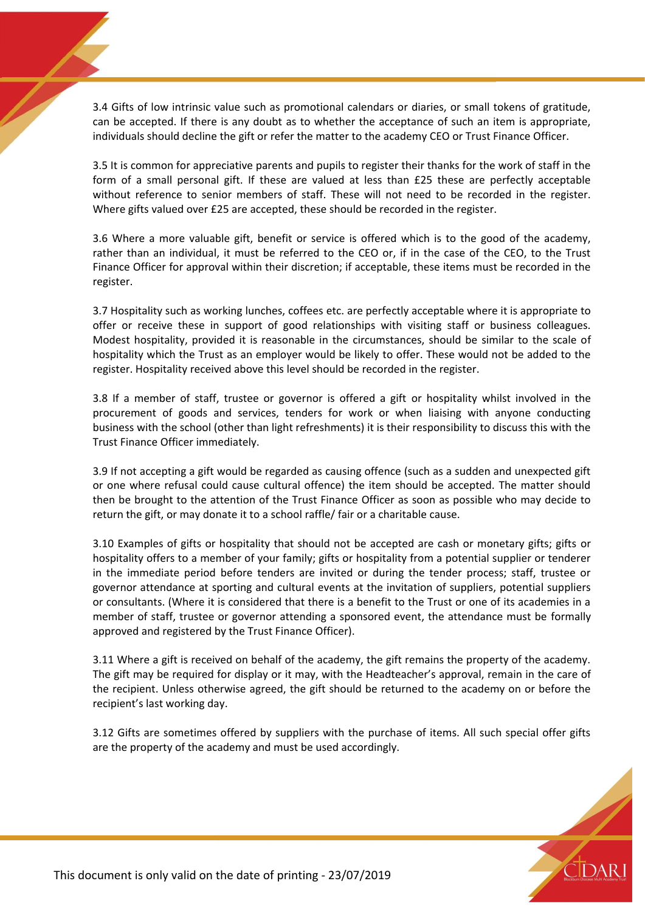3.4 Gifts of low intrinsic value such as promotional calendars or diaries, or small tokens of gratitude, can be accepted. If there is any doubt as to whether the acceptance of such an item is appropriate, individuals should decline the gift or refer the matter to the academy CEO or Trust Finance Officer.

3.5 It is common for appreciative parents and pupils to register their thanks for the work of staff in the form of a small personal gift. If these are valued at less than £25 these are perfectly acceptable without reference to senior members of staff. These will not need to be recorded in the register. Where gifts valued over £25 are accepted, these should be recorded in the register.

3.6 Where a more valuable gift, benefit or service is offered which is to the good of the academy, rather than an individual, it must be referred to the CEO or, if in the case of the CEO, to the Trust Finance Officer for approval within their discretion; if acceptable, these items must be recorded in the register.

3.7 Hospitality such as working lunches, coffees etc. are perfectly acceptable where it is appropriate to offer or receive these in support of good relationships with visiting staff or business colleagues. Modest hospitality, provided it is reasonable in the circumstances, should be similar to the scale of hospitality which the Trust as an employer would be likely to offer. These would not be added to the register. Hospitality received above this level should be recorded in the register.

3.8 If a member of staff, trustee or governor is offered a gift or hospitality whilst involved in the procurement of goods and services, tenders for work or when liaising with anyone conducting business with the school (other than light refreshments) it is their responsibility to discuss this with the Trust Finance Officer immediately.

3.9 If not accepting a gift would be regarded as causing offence (such as a sudden and unexpected gift or one where refusal could cause cultural offence) the item should be accepted. The matter should then be brought to the attention of the Trust Finance Officer as soon as possible who may decide to return the gift, or may donate it to a school raffle/ fair or a charitable cause.

3.10 Examples of gifts or hospitality that should not be accepted are cash or monetary gifts; gifts or hospitality offers to a member of your family; gifts or hospitality from a potential supplier or tenderer in the immediate period before tenders are invited or during the tender process; staff, trustee or governor attendance at sporting and cultural events at the invitation of suppliers, potential suppliers or consultants. (Where it is considered that there is a benefit to the Trust or one of its academies in a member of staff, trustee or governor attending a sponsored event, the attendance must be formally approved and registered by the Trust Finance Officer).

3.11 Where a gift is received on behalf of the academy, the gift remains the property of the academy. The gift may be required for display or it may, with the Headteacher's approval, remain in the care of the recipient. Unless otherwise agreed, the gift should be returned to the academy on or before the recipient's last working day.

3.12 Gifts are sometimes offered by suppliers with the purchase of items. All such special offer gifts are the property of the academy and must be used accordingly.

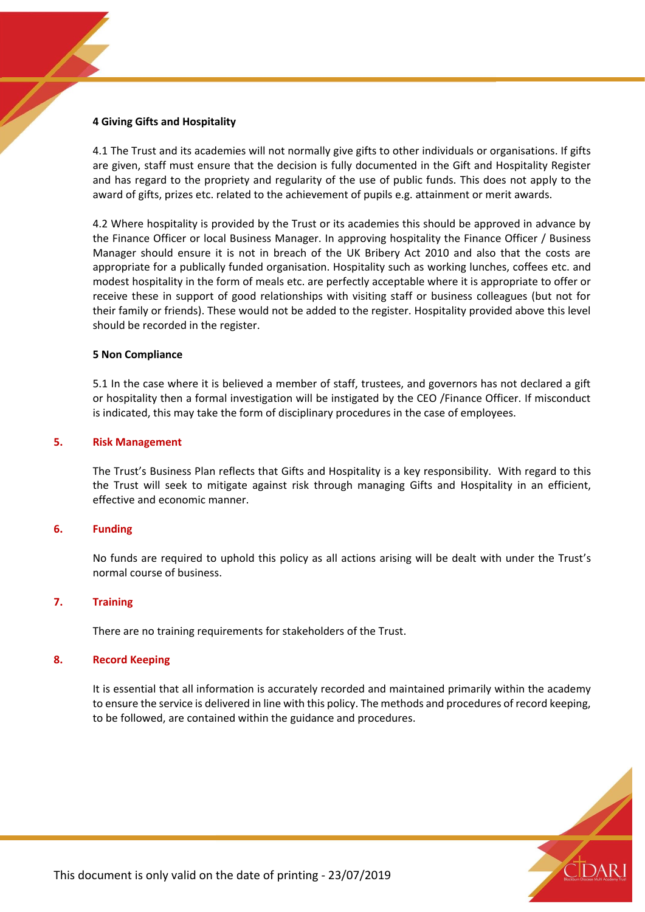## **4 Giving Gifts and Hospitality**

4.1 The Trust and its academies will not normally give gifts to other individuals or organisations. If gifts are given, staff must ensure that the decision is fully documented in the Gift and Hospitality Register and has regard to the propriety and regularity of the use of public funds. This does not apply to the award of gifts, prizes etc. related to the achievement of pupils e.g. attainment or merit awards.

4.2 Where hospitality is provided by the Trust or its academies this should be approved in advance by the Finance Officer or local Business Manager. In approving hospitality the Finance Officer / Business Manager should ensure it is not in breach of the UK Bribery Act 2010 and also that the costs are appropriate for a publically funded organisation. Hospitality such as working lunches, coffees etc. and modest hospitality in the form of meals etc. are perfectly acceptable where it is appropriate to offer or receive these in support of good relationships with visiting staff or business colleagues (but not for their family or friends). These would not be added to the register. Hospitality provided above this level should be recorded in the register.

## **5 Non Compliance**

5.1 In the case where it is believed a member of staff, trustees, and governors has not declared a gift or hospitality then a formal investigation will be instigated by the CEO /Finance Officer. If misconduct is indicated, this may take the form of disciplinary procedures in the case of employees.

## **5. Risk Management**

The Trust's Business Plan reflects that Gifts and Hospitality is a key responsibility. With regard to this the Trust will seek to mitigate against risk through managing Gifts and Hospitality in an efficient, effective and economic manner.

# **6. Funding**

No funds are required to uphold this policy as all actions arising will be dealt with under the Trust's normal course of business.

# **7. Training**

There are no training requirements for stakeholders of the Trust.

# **8. Record Keeping**

It is essential that all information is accurately recorded and maintained primarily within the academy to ensure the service is delivered in line with this policy. The methods and procedures of record keeping, to be followed, are contained within the guidance and procedures.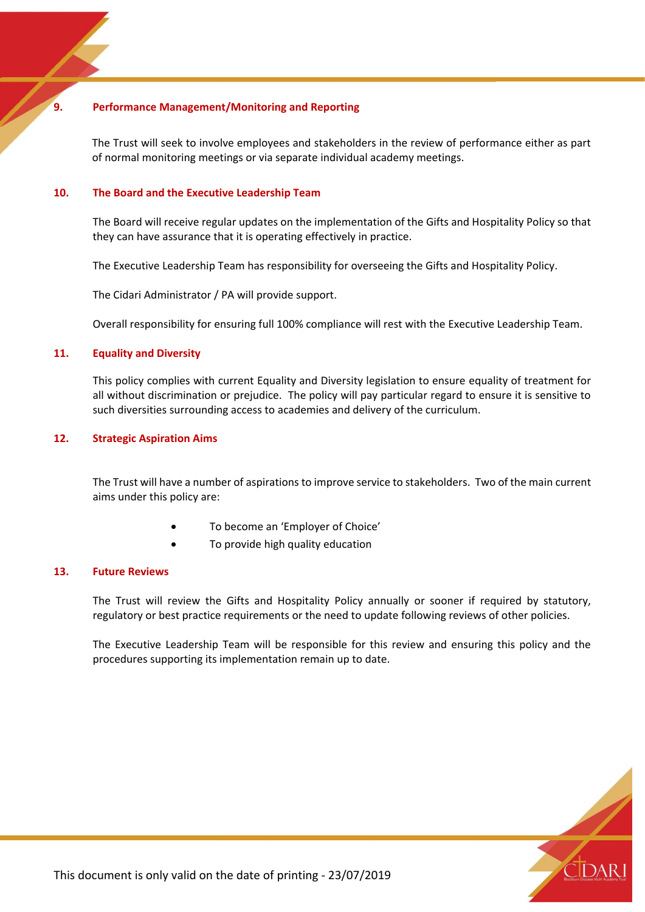# **9. Performance Management/Monitoring and Reporting**

The Trust will seek to involve employees and stakeholders in the review of performance either as part of normal monitoring meetings or via separate individual academy meetings.

# **10. The Board and the Executive Leadership Team**

The Board will receive regular updates on the implementation of the Gifts and Hospitality Policy so that they can have assurance that it is operating effectively in practice.

The Executive Leadership Team has responsibility for overseeing the Gifts and Hospitality Policy.

The Cidari Administrator / PA will provide support.

Overall responsibility for ensuring full 100% compliance will rest with the Executive Leadership Team.

## **11. Equality and Diversity**

This policy complies with current Equality and Diversity legislation to ensure equality of treatment for all without discrimination or prejudice. The policy will pay particular regard to ensure it is sensitive to such diversities surrounding access to academies and delivery of the curriculum.

# **12. Strategic Aspiration Aims**

The Trust will have a number of aspirations to improve service to stakeholders. Two of the main current aims under this policy are:

- To become an 'Employer of Choice'
- To provide high quality education

#### **13. Future Reviews**

The Trust will review the Gifts and Hospitality Policy annually or sooner if required by statutory, regulatory or best practice requirements or the need to update following reviews of other policies.

The Executive Leadership Team will be responsible for this review and ensuring this policy and the procedures supporting its implementation remain up to date.